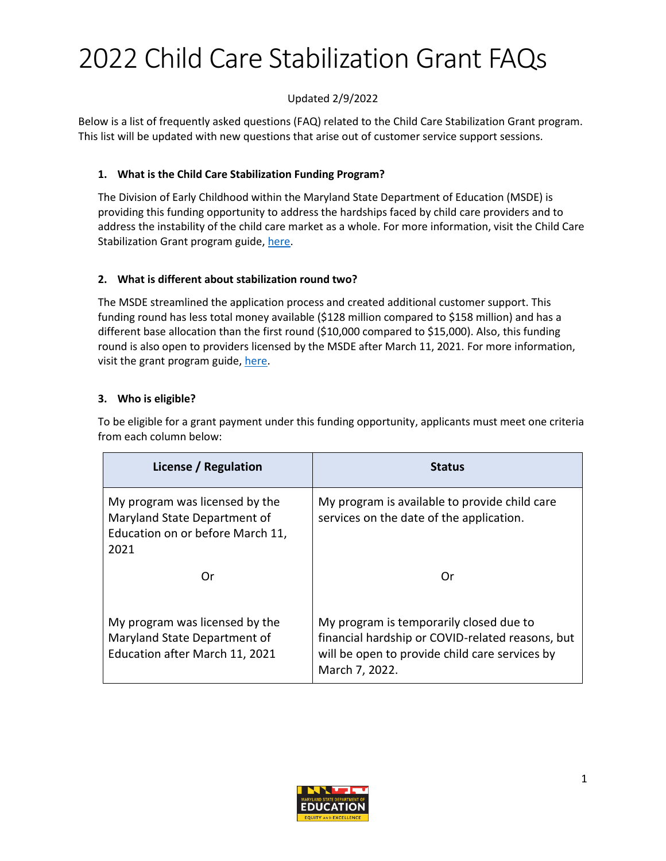# 2022 Child Care Stabilization Grant FAQs

# Updated 2/9/2022

Below is a list of frequently asked questions (FAQ) related to the Child Care Stabilization Grant program. This list will be updated with new questions that arise out of customer service support sessions.

# **1. What is the Child Care Stabilization Funding Program?**

The Division of Early Childhood within the Maryland State Department of Education (MSDE) is providing this funding opportunity to address the hardships faced by child care providers and to address the instability of the child care market as a whole. For more information, visit the Child Care Stabilization Grant program guide, [here.](https://earlychildhood.marylandpublicschools.org/system/files/filedepot/3/msde_covid-19_child_care_stabilization_grant_january2022_v.10.pdf)

# **2. What is different about stabilization round two?**

The MSDE streamlined the application process and created additional customer support. This funding round has less total money available (\$128 million compared to \$158 million) and has a different base allocation than the first round (\$10,000 compared to \$15,000). Also, this funding round is also open to providers licensed by the MSDE after March 11, 2021. For more information, visit the grant program guide, [here.](https://earlychildhood.marylandpublicschools.org/system/files/filedepot/3/msde_covid-19_child_care_stabilization_grant_january2022_v.10.pdf)

# **3. Who is eligible?**

To be eligible for a grant payment under this funding opportunity, applicants must meet one criteria from each column below:

| License / Regulation                                                                                       | <b>Status</b>                                                                                                                                                   |
|------------------------------------------------------------------------------------------------------------|-----------------------------------------------------------------------------------------------------------------------------------------------------------------|
| My program was licensed by the<br>Maryland State Department of<br>Education on or before March 11,<br>2021 | My program is available to provide child care<br>services on the date of the application.                                                                       |
| Or                                                                                                         | Ωr                                                                                                                                                              |
| My program was licensed by the<br>Maryland State Department of<br>Education after March 11, 2021           | My program is temporarily closed due to<br>financial hardship or COVID-related reasons, but<br>will be open to provide child care services by<br>March 7, 2022. |

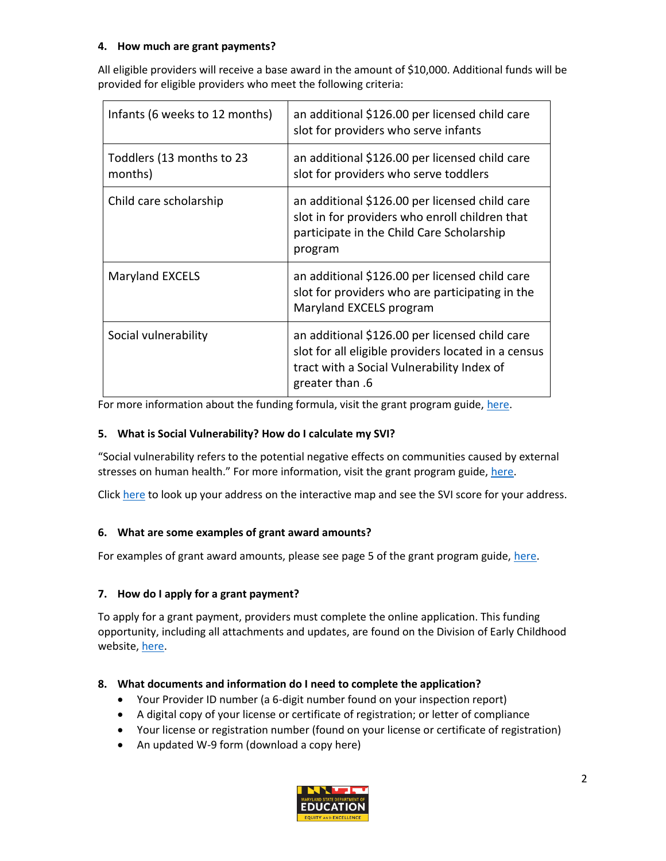# **4. How much are grant payments?**

All eligible providers will receive a base award in the amount of \$10,000. Additional funds will be provided for eligible providers who meet the following criteria:

| Infants (6 weeks to 12 months)       | an additional \$126.00 per licensed child care<br>slot for providers who serve infants                                                                                 |
|--------------------------------------|------------------------------------------------------------------------------------------------------------------------------------------------------------------------|
| Toddlers (13 months to 23<br>months) | an additional \$126.00 per licensed child care<br>slot for providers who serve toddlers                                                                                |
| Child care scholarship               | an additional \$126.00 per licensed child care<br>slot in for providers who enroll children that<br>participate in the Child Care Scholarship<br>program               |
| Maryland EXCELS                      | an additional \$126.00 per licensed child care<br>slot for providers who are participating in the<br>Maryland EXCELS program                                           |
| Social vulnerability                 | an additional \$126.00 per licensed child care<br>slot for all eligible providers located in a census<br>tract with a Social Vulnerability Index of<br>greater than .6 |

For more information about the funding formula, visit the grant program guide[, here.](https://earlychildhood.marylandpublicschools.org/system/files/filedepot/3/msde_covid-19_child_care_stabilization_grant_january2022_v.10.pdf)

# **5. What is Social Vulnerability? How do I calculate my SVI?**

"Social vulnerability refers to the potential negative effects on communities caused by external stresses on human health." For more information, visit the grant program guide, [here.](https://earlychildhood.marylandpublicschools.org/system/files/filedepot/3/msde_covid-19_child_care_stabilization_grant_january2022_v.10.pdf)

Click [here](https://svi.cdc.gov/map.html) to look up your address on the interactive map and see the SVI score for your address.

# **6. What are some examples of grant award amounts?**

For examples of grant award amounts, please see page 5 of the grant program guide[, here.](https://earlychildhood.marylandpublicschools.org/system/files/filedepot/3/msde_covid-19_child_care_stabilization_grant_january2022_v.10.pdf)

# **7. How do I apply for a grant payment?**

To apply for a grant payment, providers must complete the online application. This funding opportunity, including all attachments and updates, are found on the Division of Early Childhood website, [here.](https://earlychildhood.marylandpublicschools.org/2022ARP)

#### **8. What documents and information do I need to complete the application?**

- Your Provider ID number (a 6-digit number found on your inspection report)
- A digital copy of your license or certificate of registration; or letter of compliance
- Your license or registration number (found on your license or certificate of registration)
- An updated W-9 form (download a copy here)

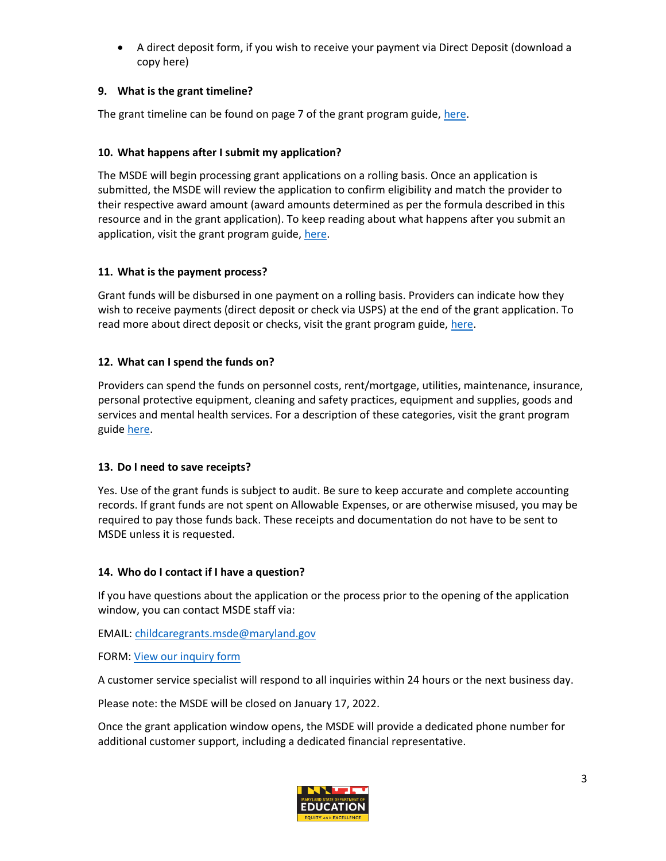• A direct deposit form, if you wish to receive your payment via Direct Deposit (download a copy here)

# **9. What is the grant timeline?**

The grant timeline can be found on page 7 of the grant program guide, [here.](https://earlychildhood.marylandpublicschools.org/system/files/filedepot/3/msde_covid-19_child_care_stabilization_grant_january2022_v.10.pdf)

# **10. What happens after I submit my application?**

The MSDE will begin processing grant applications on a rolling basis. Once an application is submitted, the MSDE will review the application to confirm eligibility and match the provider to their respective award amount (award amounts determined as per the formula described in this resource and in the grant application). To keep reading about what happens after you submit an application, visit the grant program guide, [here.](https://earlychildhood.marylandpublicschools.org/system/files/filedepot/3/msde_covid-19_child_care_stabilization_grant_january2022_v.10.pdf)

# **11. What is the payment process?**

Grant funds will be disbursed in one payment on a rolling basis. Providers can indicate how they wish to receive payments (direct deposit or check via USPS) at the end of the grant application. To read more about direct deposit or checks, visit the grant program guide[, here.](https://earlychildhood.marylandpublicschools.org/system/files/filedepot/3/msde_covid-19_child_care_stabilization_grant_january2022_v.10.pdf)

# **12. What can I spend the funds on?**

Providers can spend the funds on personnel costs, rent/mortgage, utilities, maintenance, insurance, personal protective equipment, cleaning and safety practices, equipment and supplies, goods and services and mental health services. For a description of these categories, visit the grant program guide [here.](https://earlychildhood.marylandpublicschools.org/system/files/filedepot/3/msde_covid-19_child_care_stabilization_grant_january2022_v.10.pdf)

#### **13. Do I need to save receipts?**

Yes. Use of the grant funds is subject to audit. Be sure to keep accurate and complete accounting records. If grant funds are not spent on Allowable Expenses, or are otherwise misused, you may be required to pay those funds back. These receipts and documentation do not have to be sent to MSDE unless it is requested.

#### **14. Who do I contact if I have a question?**

If you have questions about the application or the process prior to the opening of the application window, you can contact MSDE staff via:

#### EMAIL: [childcaregrants.msde@maryland.gov](mailto:childcaregrants.msde@maryland.gov)

#### FORM: [View our inquiry form](https://docs.google.com/forms/d/e/1FAIpQLSd070lhyBfkJzTeGQILgh_3UHEH7uxfAZnFAypMBIY7lgRbyA/viewform)

A customer service specialist will respond to all inquiries within 24 hours or the next business day.

Please note: the MSDE will be closed on January 17, 2022.

Once the grant application window opens, the MSDE will provide a dedicated phone number for additional customer support, including a dedicated financial representative.

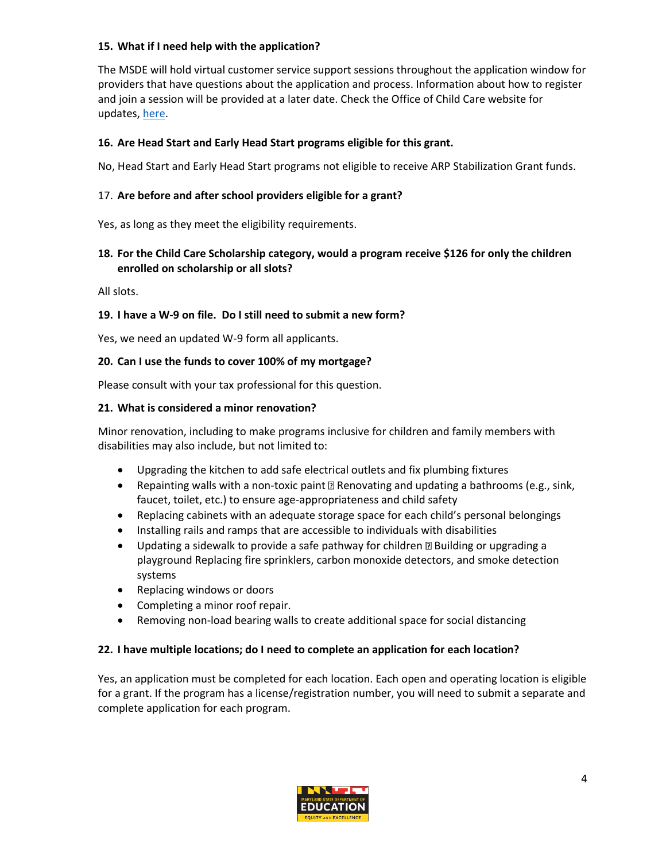# **15. What if I need help with the application?**

The MSDE will hold virtual customer service support sessions throughout the application window for providers that have questions about the application and process. Information about how to register and join a session will be provided at a later date. Check the Office of Child Care website for updates, [here.](https://earlychildhood.marylandpublicschools.org/2022ARP)

# **16. Are Head Start and Early Head Start programs eligible for this grant.**

No, Head Start and Early Head Start programs not eligible to receive ARP Stabilization Grant funds.

# 17. **Are before and after school providers eligible for a grant?**

Yes, as long as they meet the eligibility requirements.

# **18. For the Child Care Scholarship category, would a program receive \$126 for only the children enrolled on scholarship or all slots?**

All slots.

# **19. I have a W-9 on file. Do I still need to submit a new form?**

Yes, we need an updated W-9 form all applicants.

#### **20. Can I use the funds to cover 100% of my mortgage?**

Please consult with your tax professional for this question.

#### **21. What is considered a minor renovation?**

Minor renovation, including to make programs inclusive for children and family members with disabilities may also include, but not limited to:

- Upgrading the kitchen to add safe electrical outlets and fix plumbing fixtures
- Repainting walls with a non-toxic paint  $\mathbb{D}$  Renovating and updating a bathrooms (e.g., sink, faucet, toilet, etc.) to ensure age-appropriateness and child safety
- Replacing cabinets with an adequate storage space for each child's personal belongings
- Installing rails and ramps that are accessible to individuals with disabilities
- Updating a sidewalk to provide a safe pathway for children  $\mathbb D$  Building or upgrading a playground Replacing fire sprinklers, carbon monoxide detectors, and smoke detection systems
- Replacing windows or doors
- Completing a minor roof repair.
- Removing non-load bearing walls to create additional space for social distancing

#### **22. I have multiple locations; do I need to complete an application for each location?**

Yes, an application must be completed for each location. Each open and operating location is eligible for a grant. If the program has a license/registration number, you will need to submit a separate and complete application for each program.